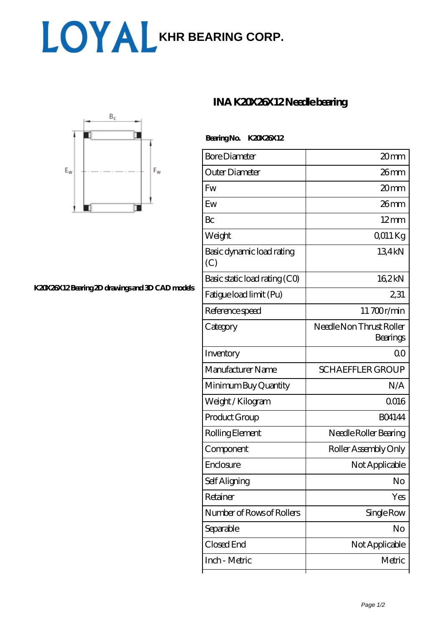# LOYAL [KHR BEARING CORP.](https://allo-chocolat.com)



### **[K20X26X12 Bearing 2D drawings and 3D CAD models](https://allo-chocolat.com/pic-65091708.html)**

## **[INA K20X26X12 Needle bearing](https://allo-chocolat.com/sell-65091708-ina-k20x26x12-needle-bearing.html)**

#### **Bearing No. K20X26X12**

| <b>Bore Diameter</b>             | 20mm                                 |
|----------------------------------|--------------------------------------|
| Outer Diameter                   | $26$ mm                              |
| <b>Fw</b>                        | 20mm                                 |
| Ew                               | 26mm                                 |
| Bc                               | $12 \text{mm}$                       |
| Weight                           | $Q011$ Kg                            |
| Basic dynamic load rating<br>(C) | 134kN                                |
| Basic static load rating (CO)    | 162kN                                |
| Fatigue load limit (Pu)          | 231                                  |
| Reference speed                  | 11700r/min                           |
| Category                         | Needle Non Thrust Roller<br>Bearings |
| Inventory                        | $\Omega$ <sup>O</sup>                |
| Manufacturer Name                | <b>SCHAEFFLER GROUP</b>              |
| Minimum Buy Quantity             | N/A                                  |
| Weight / Kilogram                | 0016                                 |
| Product Group                    | <b>BO4144</b>                        |
| Rolling Element                  | Needle Roller Bearing                |
| Component                        | Roller Assembly Only                 |
| Enclosure                        | Not Applicable                       |
| Self Aligning                    | No                                   |
| Retainer                         | Yes                                  |
| Number of Rows of Rollers        | Single Row                           |
| Separable                        | No                                   |
| Closed End                       | Not Applicable                       |
| Inch - Metric                    | Metric                               |
|                                  |                                      |